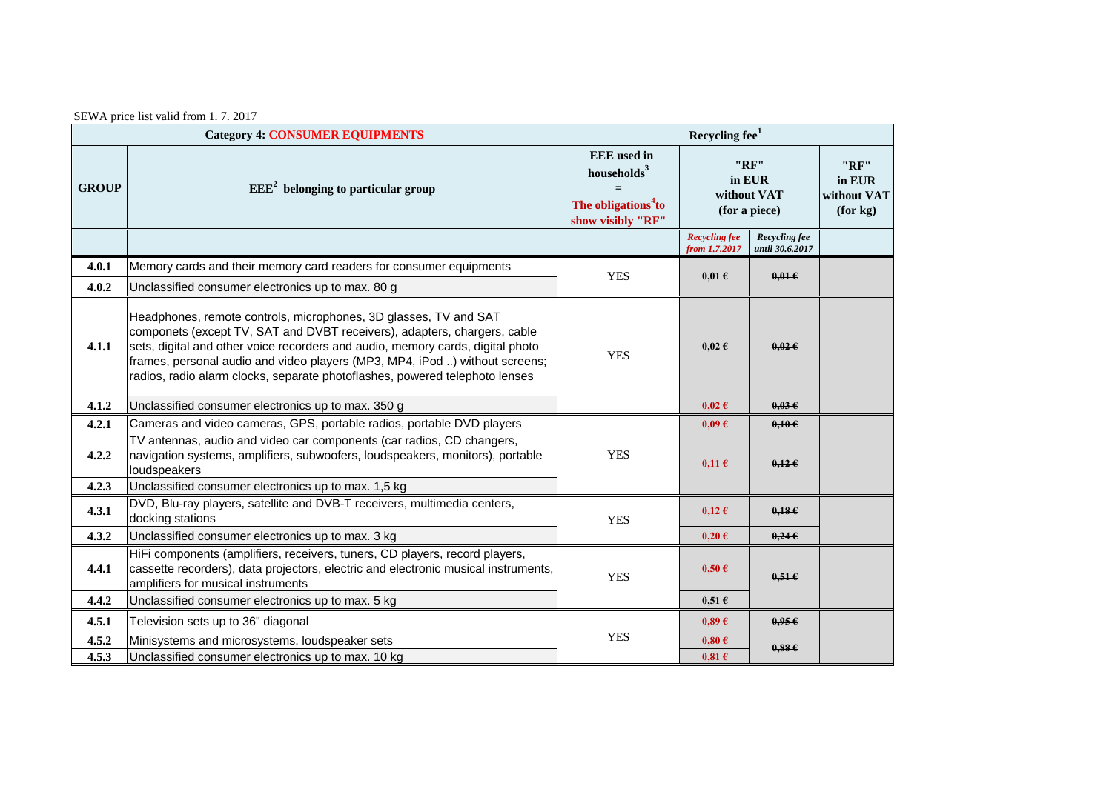| <b>Category 4: CONSUMER EQUIPMENTS</b> |                                                                                                                                                                                                                                                                                                                                                                                              | Recycling fee <sup>1</sup>                                                                          |                                                |                                  |                                           |  |
|----------------------------------------|----------------------------------------------------------------------------------------------------------------------------------------------------------------------------------------------------------------------------------------------------------------------------------------------------------------------------------------------------------------------------------------------|-----------------------------------------------------------------------------------------------------|------------------------------------------------|----------------------------------|-------------------------------------------|--|
| <b>GROUP</b>                           | $EEE2$ belonging to particular group                                                                                                                                                                                                                                                                                                                                                         | <b>EEE</b> used in<br>households $3$<br>$=$<br>The obligations <sup>4</sup> to<br>show visibly "RF" | "RF"<br>in EUR<br>without VAT<br>(for a piece) |                                  | "RF"<br>in EUR<br>without VAT<br>(for kg) |  |
|                                        |                                                                                                                                                                                                                                                                                                                                                                                              |                                                                                                     | <b>Recycling fee</b><br>from 1.7.2017          | Recycling fee<br>until 30.6.2017 |                                           |  |
| 4.0.1                                  | Memory cards and their memory card readers for consumer equipments                                                                                                                                                                                                                                                                                                                           | <b>YES</b>                                                                                          | $0.01 \text{ }\epsilon$                        | $0.01 \in$                       |                                           |  |
| 4.0.2                                  | Unclassified consumer electronics up to max. 80 g                                                                                                                                                                                                                                                                                                                                            |                                                                                                     |                                                |                                  |                                           |  |
| 4.1.1                                  | Headphones, remote controls, microphones, 3D glasses, TV and SAT<br>componets (except TV, SAT and DVBT receivers), adapters, chargers, cable<br>sets, digital and other voice recorders and audio, memory cards, digital photo<br>frames, personal audio and video players (MP3, MP4, iPod ) without screens;<br>radios, radio alarm clocks, separate photoflashes, powered telephoto lenses | <b>YES</b>                                                                                          | $0,02 \in$                                     | $0.02 \epsilon$                  |                                           |  |
| 4.1.2                                  | Unclassified consumer electronics up to max. 350 g                                                                                                                                                                                                                                                                                                                                           |                                                                                                     | $0.02 \text{ } \in$                            | $0.03 \epsilon$                  |                                           |  |
| 4.2.1                                  | Cameras and video cameras, GPS, portable radios, portable DVD players                                                                                                                                                                                                                                                                                                                        |                                                                                                     | $0.09 \text{ } \in$                            | 0,106                            |                                           |  |
| 4.2.2                                  | TV antennas, audio and video car components (car radios, CD changers,<br>navigation systems, amplifiers, subwoofers, loudspeakers, monitors), portable<br>loudspeakers                                                                                                                                                                                                                       | <b>YES</b>                                                                                          | $0,11 \in$                                     | $0,12 \in$                       |                                           |  |
| 4.2.3                                  | Unclassified consumer electronics up to max. 1,5 kg                                                                                                                                                                                                                                                                                                                                          |                                                                                                     |                                                |                                  |                                           |  |
| 4.3.1                                  | DVD, Blu-ray players, satellite and DVB-T receivers, multimedia centers,<br>docking stations                                                                                                                                                                                                                                                                                                 | <b>YES</b>                                                                                          | $0,12 \in$                                     | 0.18E                            |                                           |  |
| 4.3.2                                  | Unclassified consumer electronics up to max. 3 kg                                                                                                                                                                                                                                                                                                                                            |                                                                                                     | $0,20 \in$                                     | 0.24E                            |                                           |  |
| 4.4.1                                  | HiFi components (amplifiers, receivers, tuners, CD players, record players,<br>cassette recorders), data projectors, electric and electronic musical instruments,<br>amplifiers for musical instruments                                                                                                                                                                                      | <b>YES</b>                                                                                          | $0,50 \in$                                     | $0.51 \epsilon$                  |                                           |  |
| 4.4.2                                  | Unclassified consumer electronics up to max. 5 kg                                                                                                                                                                                                                                                                                                                                            |                                                                                                     | $0,51 \in$                                     |                                  |                                           |  |
| 4.5.1                                  | Television sets up to 36" diagonal                                                                                                                                                                                                                                                                                                                                                           | <b>YES</b>                                                                                          | 0.89E                                          | 0.95E                            |                                           |  |
| 4.5.2                                  | Minisystems and microsystems, loudspeaker sets                                                                                                                                                                                                                                                                                                                                               |                                                                                                     | $0,80 \in$                                     | 0.88E                            |                                           |  |
| 4.5.3                                  | Unclassified consumer electronics up to max. 10 kg                                                                                                                                                                                                                                                                                                                                           |                                                                                                     | $0.81 \text{ } \in$                            |                                  |                                           |  |

SEWA price list valid from 1. 7. 2017